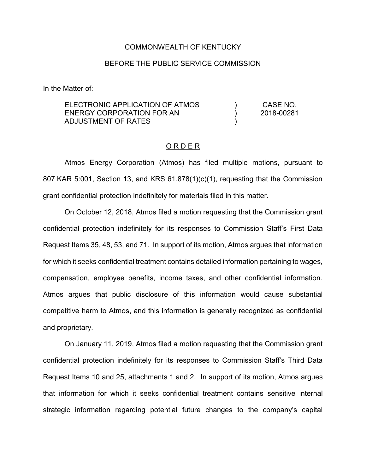## COMMONWEALTH OF KENTUCKY

## BEFORE THE PUBLIC SERVICE COMMISSION

In the Matter of:

| ELECTRONIC APPLICATION OF ATMOS                  |  | CASE NO.   |
|--------------------------------------------------|--|------------|
| ENERGY CORPORATION FOR AN<br>ADJUSTMENT OF RATES |  | 2018-00281 |
|                                                  |  |            |

## O R D E R

Atmos Energy Corporation (Atmos) has filed multiple motions, pursuant to 807 KAR 5:001, Section 13, and KRS 61.878(1)(c)(1), requesting that the Commission grant confidential protection indefinitely for materials filed in this matter.

On October 12, 2018, Atmos filed a motion requesting that the Commission grant confidential protection indefinitely for its responses to Commission Staff's First Data Request Items 35, 48, 53, and 71. In support of its motion, Atmos argues that information for which it seeks confidential treatment contains detailed information pertaining to wages, compensation, employee benefits, income taxes, and other confidential information. Atmos argues that public disclosure of this information would cause substantial competitive harm to Atmos, and this information is generally recognized as confidential and proprietary.

On January 11, 2019, Atmos filed a motion requesting that the Commission grant confidential protection indefinitely for its responses to Commission Staff's Third Data Request Items 10 and 25, attachments 1 and 2. In support of its motion, Atmos argues that information for which it seeks confidential treatment contains sensitive internal strategic information regarding potential future changes to the company's capital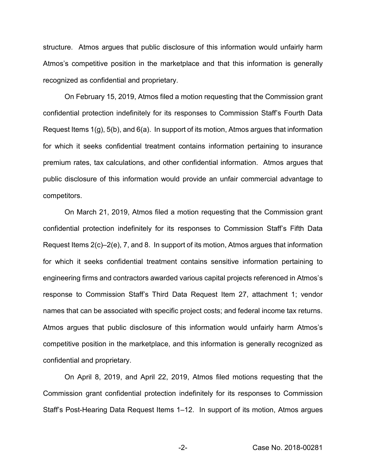structure. Atmos argues that public disclosure of this information would unfairly harm Atmos's competitive position in the marketplace and that this information is generally recognized as confidential and proprietary.

On February 15, 2019, Atmos filed a motion requesting that the Commission grant confidential protection indefinitely for its responses to Commission Staff's Fourth Data Request Items 1(g), 5(b), and 6(a). In support of its motion, Atmos argues that information for which it seeks confidential treatment contains information pertaining to insurance premium rates, tax calculations, and other confidential information. Atmos argues that public disclosure of this information would provide an unfair commercial advantage to competitors.

On March 21, 2019, Atmos filed a motion requesting that the Commission grant confidential protection indefinitely for its responses to Commission Staff's Fifth Data Request Items 2(c)–2(e), 7, and 8. In support of its motion, Atmos argues that information for which it seeks confidential treatment contains sensitive information pertaining to engineering firms and contractors awarded various capital projects referenced in Atmos's response to Commission Staff's Third Data Request Item 27, attachment 1; vendor names that can be associated with specific project costs; and federal income tax returns. Atmos argues that public disclosure of this information would unfairly harm Atmos's competitive position in the marketplace, and this information is generally recognized as confidential and proprietary.

On April 8, 2019, and April 22, 2019, Atmos filed motions requesting that the Commission grant confidential protection indefinitely for its responses to Commission Staff's Post-Hearing Data Request Items 1–12. In support of its motion, Atmos argues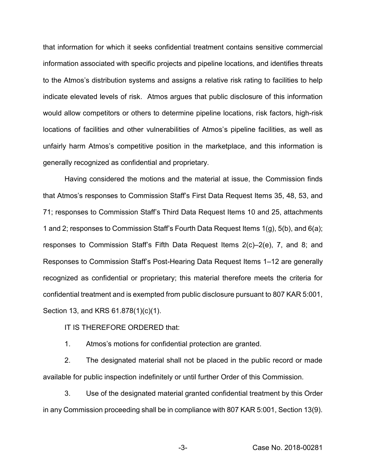that information for which it seeks confidential treatment contains sensitive commercial information associated with specific projects and pipeline locations, and identifies threats to the Atmos's distribution systems and assigns a relative risk rating to facilities to help indicate elevated levels of risk. Atmos argues that public disclosure of this information would allow competitors or others to determine pipeline locations, risk factors, high-risk locations of facilities and other vulnerabilities of Atmos's pipeline facilities, as well as unfairly harm Atmos's competitive position in the marketplace, and this information is generally recognized as confidential and proprietary.

Having considered the motions and the material at issue, the Commission finds that Atmos's responses to Commission Staff's First Data Request Items 35, 48, 53, and 71; responses to Commission Staff's Third Data Request Items 10 and 25, attachments 1 and 2; responses to Commission Staff's Fourth Data Request Items 1(g), 5(b), and 6(a); responses to Commission Staff's Fifth Data Request Items 2(c)–2(e), 7, and 8; and Responses to Commission Staff's Post-Hearing Data Request Items 1–12 are generally recognized as confidential or proprietary; this material therefore meets the criteria for confidential treatment and is exempted from public disclosure pursuant to 807 KAR 5:001, Section 13, and KRS 61.878(1)(c)(1).

## IT IS THEREFORE ORDERED that:

1. Atmos's motions for confidential protection are granted.

2. The designated material shall not be placed in the public record or made available for public inspection indefinitely or until further Order of this Commission.

3. Use of the designated material granted confidential treatment by this Order in any Commission proceeding shall be in compliance with 807 KAR 5:001, Section 13(9).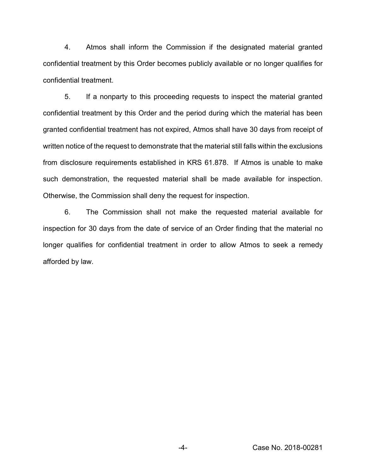4. Atmos shall inform the Commission if the designated material granted confidential treatment by this Order becomes publicly available or no longer qualifies for confidential treatment.

5. If a nonparty to this proceeding requests to inspect the material granted confidential treatment by this Order and the period during which the material has been granted confidential treatment has not expired, Atmos shall have 30 days from receipt of written notice of the request to demonstrate that the material still falls within the exclusions from disclosure requirements established in KRS 61.878. If Atmos is unable to make such demonstration, the requested material shall be made available for inspection. Otherwise, the Commission shall deny the request for inspection.

6. The Commission shall not make the requested material available for inspection for 30 days from the date of service of an Order finding that the material no longer qualifies for confidential treatment in order to allow Atmos to seek a remedy afforded by law.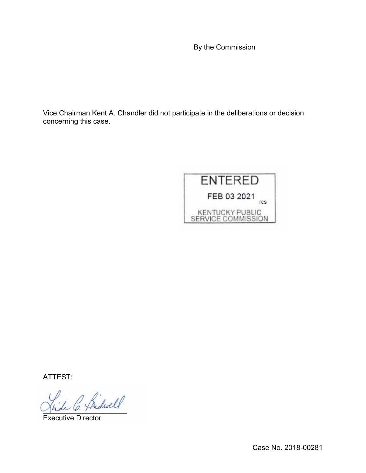By the Commission

Vice Chairman Kent A. Chandler did not participate in the deliberations or decision concerning this case.



ATTEST:

C. Pridwell

Executive Director